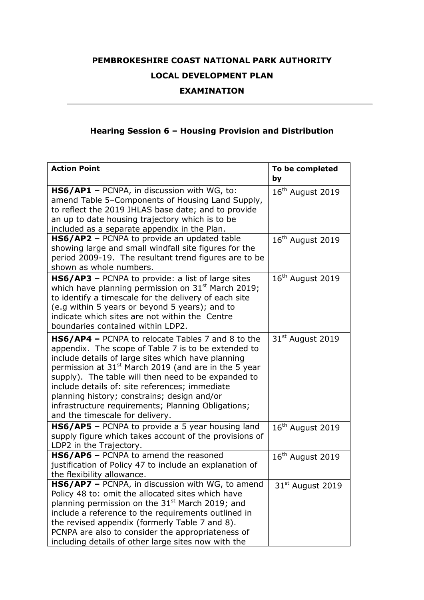## **PEMBROKESHIRE COAST NATIONAL PARK AUTHORITY LOCAL DEVELOPMENT PLAN**

## **EXAMINATION**

## **Hearing Session 6 – Housing Provision and Distribution**

| <b>Action Point</b>                                                                                                                                                                                                                                                                                                                                                                                                                                                                 | To be completed<br>by        |
|-------------------------------------------------------------------------------------------------------------------------------------------------------------------------------------------------------------------------------------------------------------------------------------------------------------------------------------------------------------------------------------------------------------------------------------------------------------------------------------|------------------------------|
| HS6/AP1 - PCNPA, in discussion with WG, to:<br>amend Table 5-Components of Housing Land Supply,<br>to reflect the 2019 JHLAS base date; and to provide<br>an up to date housing trajectory which is to be<br>included as a separate appendix in the Plan.                                                                                                                                                                                                                           | $16th$ August 2019           |
| HS6/AP2 - PCNPA to provide an updated table<br>showing large and small windfall site figures for the<br>period 2009-19. The resultant trend figures are to be<br>shown as whole numbers.                                                                                                                                                                                                                                                                                            | 16 <sup>th</sup> August 2019 |
| <b>HS6/AP3</b> - PCNPA to provide: a list of large sites<br>which have planning permission on $31st$ March 2019;<br>to identify a timescale for the delivery of each site<br>(e.g within 5 years or beyond 5 years); and to<br>indicate which sites are not within the Centre<br>boundaries contained within LDP2.                                                                                                                                                                  | 16 <sup>th</sup> August 2019 |
| HS6/AP4 - PCNPA to relocate Tables 7 and 8 to the<br>appendix. The scope of Table 7 is to be extended to<br>include details of large sites which have planning<br>permission at 31 <sup>st</sup> March 2019 (and are in the 5 year<br>supply). The table will then need to be expanded to<br>include details of: site references; immediate<br>planning history; constrains; design and/or<br>infrastructure requirements; Planning Obligations;<br>and the timescale for delivery. | 31 <sup>st</sup> August 2019 |
| HS6/AP5 - PCNPA to provide a 5 year housing land<br>supply figure which takes account of the provisions of<br>LDP2 in the Trajectory.                                                                                                                                                                                                                                                                                                                                               | $16th$ August 2019           |
| HS6/AP6 - PCNPA to amend the reasoned<br>justification of Policy 47 to include an explanation of<br>the flexibility allowance.                                                                                                                                                                                                                                                                                                                                                      | 16 <sup>th</sup> August 2019 |
| HS6/AP7 - PCNPA, in discussion with WG, to amend<br>Policy 48 to: omit the allocated sites which have<br>planning permission on the 31 <sup>st</sup> March 2019; and<br>include a reference to the requirements outlined in<br>the revised appendix (formerly Table 7 and 8).<br>PCNPA are also to consider the appropriateness of<br>including details of other large sites now with the                                                                                           | $31st$ August 2019           |